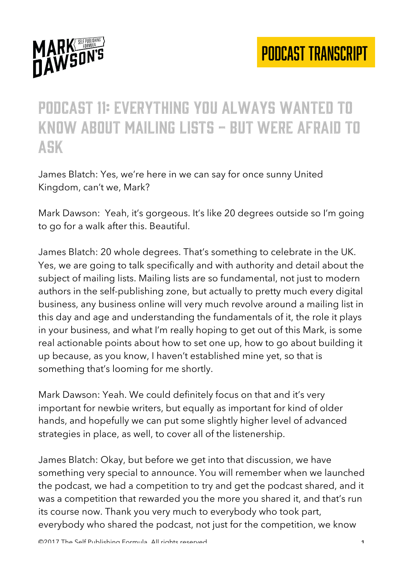

#### Podcast 11: everything you always wanted to know about mailing lists - but were afraid to ask

James Blatch: Yes, we're here in we can say for once sunny United Kingdom, can't we, Mark?

Mark Dawson: Yeah, it's gorgeous. It's like 20 degrees outside so I'm going to go for a walk after this. Beautiful.

James Blatch: 20 whole degrees. That's something to celebrate in the UK. Yes, we are going to talk specifically and with authority and detail about the subject of mailing lists. Mailing lists are so fundamental, not just to modern authors in the self-publishing zone, but actually to pretty much every digital business, any business online will very much revolve around a mailing list in this day and age and understanding the fundamentals of it, the role it plays in your business, and what I'm really hoping to get out of this Mark, is some real actionable points about how to set one up, how to go about building it up because, as you know, I haven't established mine yet, so that is something that's looming for me shortly.

Mark Dawson: Yeah. We could definitely focus on that and it's very important for newbie writers, but equally as important for kind of older hands, and hopefully we can put some slightly higher level of advanced strategies in place, as well, to cover all of the listenership.

James Blatch: Okay, but before we get into that discussion, we have something very special to announce. You will remember when we launched the podcast, we had a competition to try and get the podcast shared, and it was a competition that rewarded you the more you shared it, and that's run its course now. Thank you very much to everybody who took part, everybody who shared the podcast, not just for the competition, we know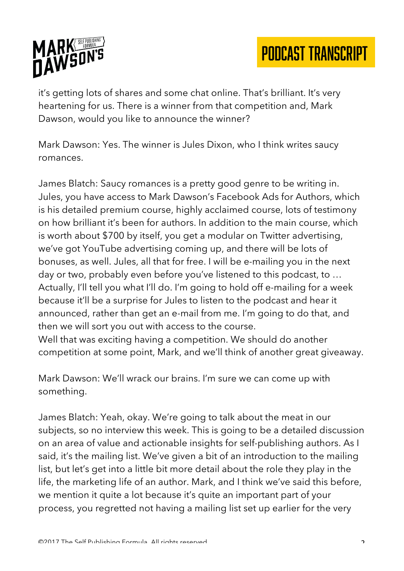

it's getting lots of shares and some chat online. That's brilliant. It's very heartening for us. There is a winner from that competition and, Mark Dawson, would you like to announce the winner?

Mark Dawson: Yes. The winner is Jules Dixon, who I think writes saucy romances.

James Blatch: Saucy romances is a pretty good genre to be writing in. Jules, you have access to Mark Dawson's Facebook Ads for Authors, which is his detailed premium course, highly acclaimed course, lots of testimony on how brilliant it's been for authors. In addition to the main course, which is worth about \$700 by itself, you get a modular on Twitter advertising, we've got YouTube advertising coming up, and there will be lots of bonuses, as well. Jules, all that for free. I will be e-mailing you in the next day or two, probably even before you've listened to this podcast, to … Actually, I'll tell you what I'll do. I'm going to hold off e-mailing for a week because it'll be a surprise for Jules to listen to the podcast and hear it announced, rather than get an e-mail from me. I'm going to do that, and then we will sort you out with access to the course.

Well that was exciting having a competition. We should do another competition at some point, Mark, and we'll think of another great giveaway.

Mark Dawson: We'll wrack our brains. I'm sure we can come up with something.

James Blatch: Yeah, okay. We're going to talk about the meat in our subjects, so no interview this week. This is going to be a detailed discussion on an area of value and actionable insights for self-publishing authors. As I said, it's the mailing list. We've given a bit of an introduction to the mailing list, but let's get into a little bit more detail about the role they play in the life, the marketing life of an author. Mark, and I think we've said this before, we mention it quite a lot because it's quite an important part of your process, you regretted not having a mailing list set up earlier for the very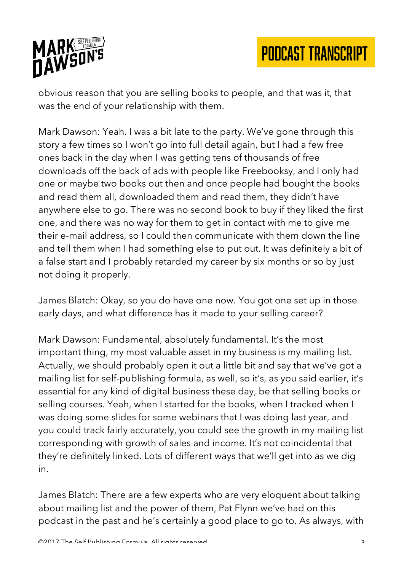

obvious reason that you are selling books to people, and that was it, that was the end of your relationship with them.

Mark Dawson: Yeah. I was a bit late to the party. We've gone through this story a few times so I won't go into full detail again, but I had a few free ones back in the day when I was getting tens of thousands of free downloads off the back of ads with people like Freebooksy, and I only had one or maybe two books out then and once people had bought the books and read them all, downloaded them and read them, they didn't have anywhere else to go. There was no second book to buy if they liked the first one, and there was no way for them to get in contact with me to give me their e-mail address, so I could then communicate with them down the line and tell them when I had something else to put out. It was definitely a bit of a false start and I probably retarded my career by six months or so by just not doing it properly.

James Blatch: Okay, so you do have one now. You got one set up in those early days, and what difference has it made to your selling career?

Mark Dawson: Fundamental, absolutely fundamental. It's the most important thing, my most valuable asset in my business is my mailing list. Actually, we should probably open it out a little bit and say that we've got a mailing list for self-publishing formula, as well, so it's, as you said earlier, it's essential for any kind of digital business these day, be that selling books or selling courses. Yeah, when I started for the books, when I tracked when I was doing some slides for some webinars that I was doing last year, and you could track fairly accurately, you could see the growth in my mailing list corresponding with growth of sales and income. It's not coincidental that they're definitely linked. Lots of different ways that we'll get into as we dig in.

James Blatch: There are a few experts who are very eloquent about talking about mailing list and the power of them, Pat Flynn we've had on this podcast in the past and he's certainly a good place to go to. As always, with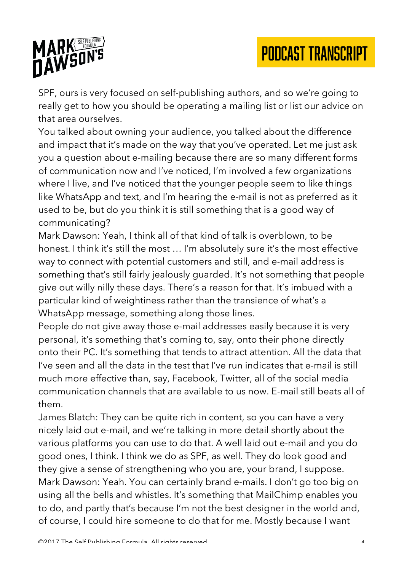



SPF, ours is very focused on self-publishing authors, and so we're going to really get to how you should be operating a mailing list or list our advice on that area ourselves.

You talked about owning your audience, you talked about the difference and impact that it's made on the way that you've operated. Let me just ask you a question about e-mailing because there are so many different forms of communication now and I've noticed, I'm involved a few organizations where I live, and I've noticed that the younger people seem to like things like WhatsApp and text, and I'm hearing the e-mail is not as preferred as it used to be, but do you think it is still something that is a good way of communicating?

Mark Dawson: Yeah, I think all of that kind of talk is overblown, to be honest. I think it's still the most … I'm absolutely sure it's the most effective way to connect with potential customers and still, and e-mail address is something that's still fairly jealously guarded. It's not something that people give out willy nilly these days. There's a reason for that. It's imbued with a particular kind of weightiness rather than the transience of what's a WhatsApp message, something along those lines.

People do not give away those e-mail addresses easily because it is very personal, it's something that's coming to, say, onto their phone directly onto their PC. It's something that tends to attract attention. All the data that I've seen and all the data in the test that I've run indicates that e-mail is still much more effective than, say, Facebook, Twitter, all of the social media communication channels that are available to us now. E-mail still beats all of them.

James Blatch: They can be quite rich in content, so you can have a very nicely laid out e-mail, and we're talking in more detail shortly about the various platforms you can use to do that. A well laid out e-mail and you do good ones, I think. I think we do as SPF, as well. They do look good and they give a sense of strengthening who you are, your brand, I suppose. Mark Dawson: Yeah. You can certainly brand e-mails. I don't go too big on using all the bells and whistles. It's something that MailChimp enables you to do, and partly that's because I'm not the best designer in the world and, of course, I could hire someone to do that for me. Mostly because I want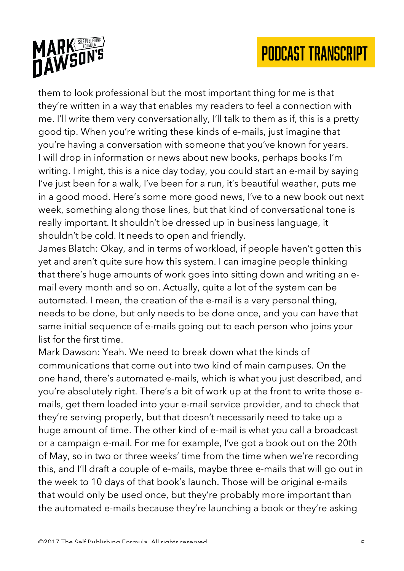

them to look professional but the most important thing for me is that they're written in a way that enables my readers to feel a connection with me. I'll write them very conversationally, I'll talk to them as if, this is a pretty good tip. When you're writing these kinds of e-mails, just imagine that you're having a conversation with someone that you've known for years. I will drop in information or news about new books, perhaps books I'm writing. I might, this is a nice day today, you could start an e-mail by saying I've just been for a walk, I've been for a run, it's beautiful weather, puts me in a good mood. Here's some more good news, I've to a new book out next week, something along those lines, but that kind of conversational tone is really important. It shouldn't be dressed up in business language, it shouldn't be cold. It needs to open and friendly.

James Blatch: Okay, and in terms of workload, if people haven't gotten this yet and aren't quite sure how this system. I can imagine people thinking that there's huge amounts of work goes into sitting down and writing an email every month and so on. Actually, quite a lot of the system can be automated. I mean, the creation of the e-mail is a very personal thing, needs to be done, but only needs to be done once, and you can have that same initial sequence of e-mails going out to each person who joins your list for the first time.

Mark Dawson: Yeah. We need to break down what the kinds of communications that come out into two kind of main campuses. On the one hand, there's automated e-mails, which is what you just described, and you're absolutely right. There's a bit of work up at the front to write those emails, get them loaded into your e-mail service provider, and to check that they're serving properly, but that doesn't necessarily need to take up a huge amount of time. The other kind of e-mail is what you call a broadcast or a campaign e-mail. For me for example, I've got a book out on the 20th of May, so in two or three weeks' time from the time when we're recording this, and I'll draft a couple of e-mails, maybe three e-mails that will go out in the week to 10 days of that book's launch. Those will be original e-mails that would only be used once, but they're probably more important than the automated e-mails because they're launching a book or they're asking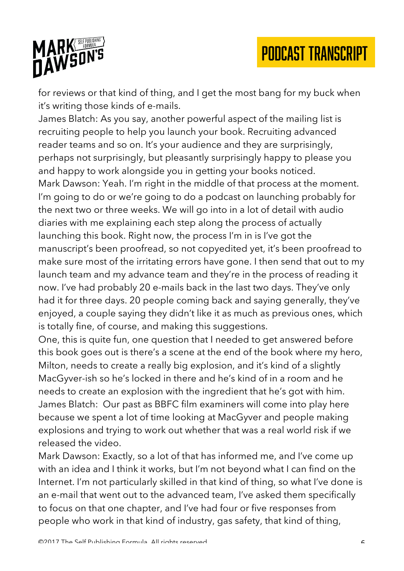

for reviews or that kind of thing, and I get the most bang for my buck when it's writing those kinds of e-mails.

James Blatch: As you say, another powerful aspect of the mailing list is recruiting people to help you launch your book. Recruiting advanced reader teams and so on. It's your audience and they are surprisingly, perhaps not surprisingly, but pleasantly surprisingly happy to please you and happy to work alongside you in getting your books noticed. Mark Dawson: Yeah. I'm right in the middle of that process at the moment. I'm going to do or we're going to do a podcast on launching probably for the next two or three weeks. We will go into in a lot of detail with audio diaries with me explaining each step along the process of actually launching this book. Right now, the process I'm in is I've got the manuscript's been proofread, so not copyedited yet, it's been proofread to make sure most of the irritating errors have gone. I then send that out to my launch team and my advance team and they're in the process of reading it now. I've had probably 20 e-mails back in the last two days. They've only had it for three days. 20 people coming back and saying generally, they've enjoyed, a couple saying they didn't like it as much as previous ones, which is totally fine, of course, and making this suggestions.

One, this is quite fun, one question that I needed to get answered before this book goes out is there's a scene at the end of the book where my hero, Milton, needs to create a really big explosion, and it's kind of a slightly MacGyver-ish so he's locked in there and he's kind of in a room and he needs to create an explosion with the ingredient that he's got with him. James Blatch: Our past as BBFC film examiners will come into play here because we spent a lot of time looking at MacGyver and people making explosions and trying to work out whether that was a real world risk if we released the video.

Mark Dawson: Exactly, so a lot of that has informed me, and I've come up with an idea and I think it works, but I'm not beyond what I can find on the Internet. I'm not particularly skilled in that kind of thing, so what I've done is an e-mail that went out to the advanced team, I've asked them specifically to focus on that one chapter, and I've had four or five responses from people who work in that kind of industry, gas safety, that kind of thing,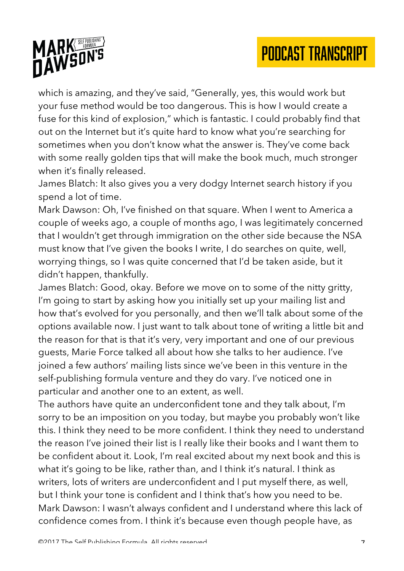

which is amazing, and they've said, "Generally, yes, this would work but your fuse method would be too dangerous. This is how I would create a fuse for this kind of explosion," which is fantastic. I could probably find that out on the Internet but it's quite hard to know what you're searching for sometimes when you don't know what the answer is. They've come back with some really golden tips that will make the book much, much stronger when it's finally released.

James Blatch: It also gives you a very dodgy Internet search history if you spend a lot of time.

Mark Dawson: Oh, I've finished on that square. When I went to America a couple of weeks ago, a couple of months ago, I was legitimately concerned that I wouldn't get through immigration on the other side because the NSA must know that I've given the books I write, I do searches on quite, well, worrying things, so I was quite concerned that I'd be taken aside, but it didn't happen, thankfully.

James Blatch: Good, okay. Before we move on to some of the nitty gritty, I'm going to start by asking how you initially set up your mailing list and how that's evolved for you personally, and then we'll talk about some of the options available now. I just want to talk about tone of writing a little bit and the reason for that is that it's very, very important and one of our previous guests, Marie Force talked all about how she talks to her audience. I've joined a few authors' mailing lists since we've been in this venture in the self-publishing formula venture and they do vary. I've noticed one in particular and another one to an extent, as well.

The authors have quite an underconfident tone and they talk about, I'm sorry to be an imposition on you today, but maybe you probably won't like this. I think they need to be more confident. I think they need to understand the reason I've joined their list is I really like their books and I want them to be confident about it. Look, I'm real excited about my next book and this is what it's going to be like, rather than, and I think it's natural. I think as writers, lots of writers are underconfident and I put myself there, as well, but I think your tone is confident and I think that's how you need to be. Mark Dawson: I wasn't always confident and I understand where this lack of confidence comes from. I think it's because even though people have, as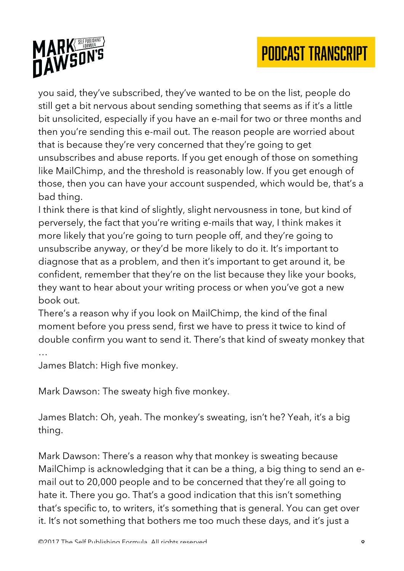

you said, they've subscribed, they've wanted to be on the list, people do still get a bit nervous about sending something that seems as if it's a little bit unsolicited, especially if you have an e-mail for two or three months and then you're sending this e-mail out. The reason people are worried about that is because they're very concerned that they're going to get unsubscribes and abuse reports. If you get enough of those on something like MailChimp, and the threshold is reasonably low. If you get enough of those, then you can have your account suspended, which would be, that's a bad thing.

I think there is that kind of slightly, slight nervousness in tone, but kind of perversely, the fact that you're writing e-mails that way, I think makes it more likely that you're going to turn people off, and they're going to unsubscribe anyway, or they'd be more likely to do it. It's important to diagnose that as a problem, and then it's important to get around it, be confident, remember that they're on the list because they like your books, they want to hear about your writing process or when you've got a new book out.

There's a reason why if you look on MailChimp, the kind of the final moment before you press send, first we have to press it twice to kind of double confirm you want to send it. There's that kind of sweaty monkey that

…

James Blatch: High five monkey.

Mark Dawson: The sweaty high five monkey.

James Blatch: Oh, yeah. The monkey's sweating, isn't he? Yeah, it's a big thing.

Mark Dawson: There's a reason why that monkey is sweating because MailChimp is acknowledging that it can be a thing, a big thing to send an email out to 20,000 people and to be concerned that they're all going to hate it. There you go. That's a good indication that this isn't something that's specific to, to writers, it's something that is general. You can get over it. It's not something that bothers me too much these days, and it's just a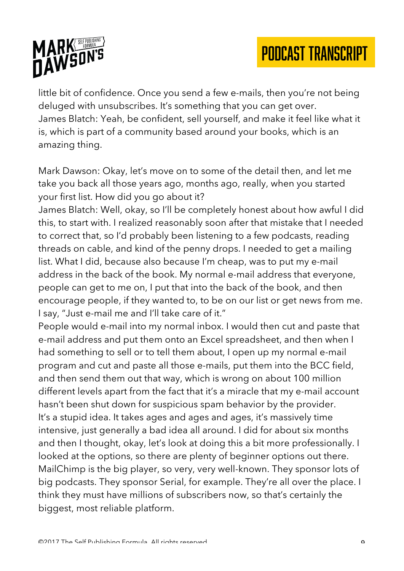

little bit of confidence. Once you send a few e-mails, then you're not being deluged with unsubscribes. It's something that you can get over. James Blatch: Yeah, be confident, sell yourself, and make it feel like what it is, which is part of a community based around your books, which is an amazing thing.

Mark Dawson: Okay, let's move on to some of the detail then, and let me take you back all those years ago, months ago, really, when you started your first list. How did you go about it?

James Blatch: Well, okay, so I'll be completely honest about how awful I did this, to start with. I realized reasonably soon after that mistake that I needed to correct that, so I'd probably been listening to a few podcasts, reading threads on cable, and kind of the penny drops. I needed to get a mailing list. What I did, because also because I'm cheap, was to put my e-mail address in the back of the book. My normal e-mail address that everyone, people can get to me on, I put that into the back of the book, and then encourage people, if they wanted to, to be on our list or get news from me. I say, "Just e-mail me and I'll take care of it."

People would e-mail into my normal inbox. I would then cut and paste that e-mail address and put them onto an Excel spreadsheet, and then when I had something to sell or to tell them about, I open up my normal e-mail program and cut and paste all those e-mails, put them into the BCC field, and then send them out that way, which is wrong on about 100 million different levels apart from the fact that it's a miracle that my e-mail account hasn't been shut down for suspicious spam behavior by the provider. It's a stupid idea. It takes ages and ages and ages, it's massively time intensive, just generally a bad idea all around. I did for about six months and then I thought, okay, let's look at doing this a bit more professionally. I looked at the options, so there are plenty of beginner options out there. MailChimp is the big player, so very, very well-known. They sponsor lots of big podcasts. They sponsor Serial, for example. They're all over the place. I think they must have millions of subscribers now, so that's certainly the biggest, most reliable platform.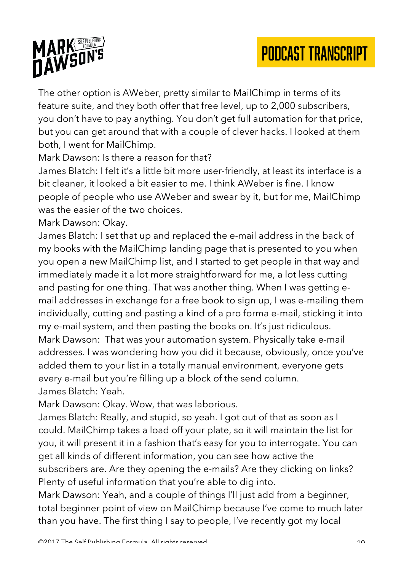

The other option is AWeber, pretty similar to MailChimp in terms of its feature suite, and they both offer that free level, up to 2,000 subscribers, you don't have to pay anything. You don't get full automation for that price, but you can get around that with a couple of clever hacks. I looked at them both, I went for MailChimp.

Mark Dawson: Is there a reason for that?

James Blatch: I felt it's a little bit more user-friendly, at least its interface is a bit cleaner, it looked a bit easier to me. I think AWeber is fine. I know people of people who use AWeber and swear by it, but for me, MailChimp was the easier of the two choices.

Mark Dawson: Okay.

James Blatch: I set that up and replaced the e-mail address in the back of my books with the MailChimp landing page that is presented to you when you open a new MailChimp list, and I started to get people in that way and immediately made it a lot more straightforward for me, a lot less cutting and pasting for one thing. That was another thing. When I was getting email addresses in exchange for a free book to sign up, I was e-mailing them individually, cutting and pasting a kind of a pro forma e-mail, sticking it into my e-mail system, and then pasting the books on. It's just ridiculous. Mark Dawson: That was your automation system. Physically take e-mail addresses. I was wondering how you did it because, obviously, once you've added them to your list in a totally manual environment, everyone gets every e-mail but you're filling up a block of the send column.

James Blatch: Yeah.

Mark Dawson: Okay. Wow, that was laborious.

James Blatch: Really, and stupid, so yeah. I got out of that as soon as I could. MailChimp takes a load off your plate, so it will maintain the list for you, it will present it in a fashion that's easy for you to interrogate. You can get all kinds of different information, you can see how active the subscribers are. Are they opening the e-mails? Are they clicking on links? Plenty of useful information that you're able to dig into.

Mark Dawson: Yeah, and a couple of things I'll just add from a beginner, total beginner point of view on MailChimp because I've come to much later than you have. The first thing I say to people, I've recently got my local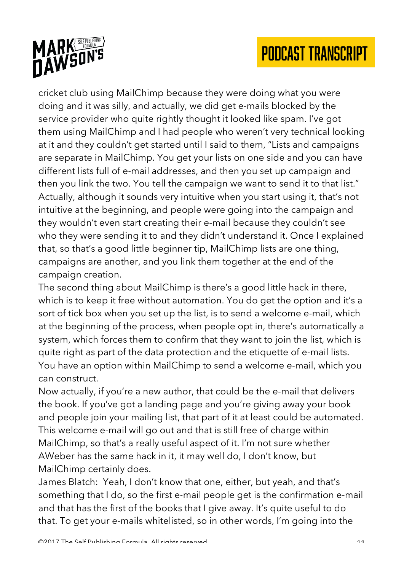

cricket club using MailChimp because they were doing what you were doing and it was silly, and actually, we did get e-mails blocked by the service provider who quite rightly thought it looked like spam. I've got them using MailChimp and I had people who weren't very technical looking at it and they couldn't get started until I said to them, "Lists and campaigns are separate in MailChimp. You get your lists on one side and you can have different lists full of e-mail addresses, and then you set up campaign and then you link the two. You tell the campaign we want to send it to that list." Actually, although it sounds very intuitive when you start using it, that's not intuitive at the beginning, and people were going into the campaign and they wouldn't even start creating their e-mail because they couldn't see who they were sending it to and they didn't understand it. Once I explained that, so that's a good little beginner tip, MailChimp lists are one thing, campaigns are another, and you link them together at the end of the campaign creation.

The second thing about MailChimp is there's a good little hack in there, which is to keep it free without automation. You do get the option and it's a sort of tick box when you set up the list, is to send a welcome e-mail, which at the beginning of the process, when people opt in, there's automatically a system, which forces them to confirm that they want to join the list, which is quite right as part of the data protection and the etiquette of e-mail lists. You have an option within MailChimp to send a welcome e-mail, which you can construct.

Now actually, if you're a new author, that could be the e-mail that delivers the book. If you've got a landing page and you're giving away your book and people join your mailing list, that part of it at least could be automated. This welcome e-mail will go out and that is still free of charge within MailChimp, so that's a really useful aspect of it. I'm not sure whether AWeber has the same hack in it, it may well do, I don't know, but MailChimp certainly does.

James Blatch: Yeah, I don't know that one, either, but yeah, and that's something that I do, so the first e-mail people get is the confirmation e-mail and that has the first of the books that I give away. It's quite useful to do that. To get your e-mails whitelisted, so in other words, I'm going into the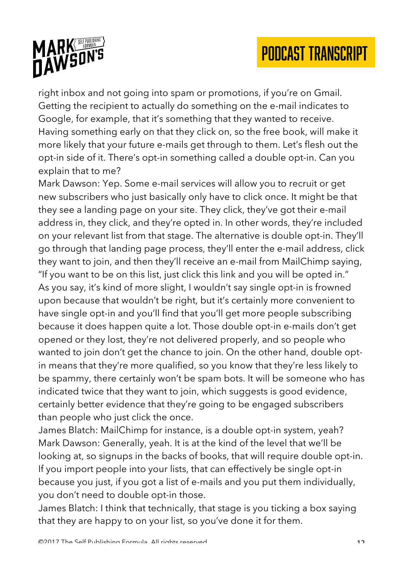

right inbox and not going into spam or promotions, if you're on Gmail. Getting the recipient to actually do something on the e-mail indicates to Google, for example, that it's something that they wanted to receive. Having something early on that they click on, so the free book, will make it more likely that your future e-mails get through to them. Let's flesh out the opt-in side of it. There's opt-in something called a double opt-in. Can you explain that to me?

Mark Dawson: Yep. Some e-mail services will allow you to recruit or get new subscribers who just basically only have to click once. It might be that they see a landing page on your site. They click, they've got their e-mail address in, they click, and they're opted in. In other words, they're included on your relevant list from that stage. The alternative is double opt-in. They'll go through that landing page process, they'll enter the e-mail address, click they want to join, and then they'll receive an e-mail from MailChimp saying, "If you want to be on this list, just click this link and you will be opted in." As you say, it's kind of more slight, I wouldn't say single opt-in is frowned upon because that wouldn't be right, but it's certainly more convenient to have single opt-in and you'll find that you'll get more people subscribing because it does happen quite a lot. Those double opt-in e-mails don't get opened or they lost, they're not delivered properly, and so people who wanted to join don't get the chance to join. On the other hand, double optin means that they're more qualified, so you know that they're less likely to be spammy, there certainly won't be spam bots. It will be someone who has indicated twice that they want to join, which suggests is good evidence, certainly better evidence that they're going to be engaged subscribers than people who just click the once.

James Blatch: MailChimp for instance, is a double opt-in system, yeah? Mark Dawson: Generally, yeah. It is at the kind of the level that we'll be looking at, so signups in the backs of books, that will require double opt-in. If you import people into your lists, that can effectively be single opt-in because you just, if you got a list of e-mails and you put them individually, you don't need to double opt-in those.

James Blatch: I think that technically, that stage is you ticking a box saying that they are happy to on your list, so you've done it for them.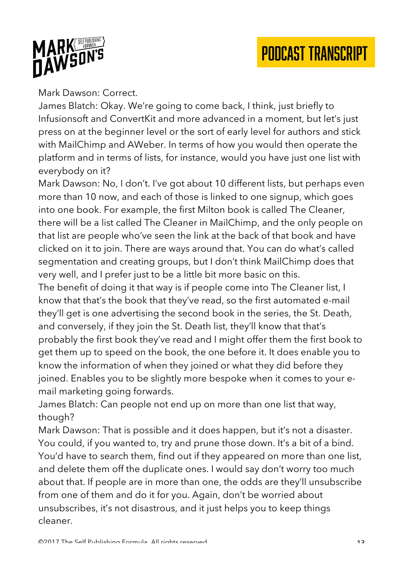

#### Mark Dawson: Correct.

James Blatch: Okay. We're going to come back, I think, just briefly to Infusionsoft and ConvertKit and more advanced in a moment, but let's just press on at the beginner level or the sort of early level for authors and stick with MailChimp and AWeber. In terms of how you would then operate the platform and in terms of lists, for instance, would you have just one list with everybody on it?

Mark Dawson: No, I don't. I've got about 10 different lists, but perhaps even more than 10 now, and each of those is linked to one signup, which goes into one book. For example, the first Milton book is called The Cleaner, there will be a list called The Cleaner in MailChimp, and the only people on that list are people who've seen the link at the back of that book and have clicked on it to join. There are ways around that. You can do what's called segmentation and creating groups, but I don't think MailChimp does that very well, and I prefer just to be a little bit more basic on this.

The benefit of doing it that way is if people come into The Cleaner list, I know that that's the book that they've read, so the first automated e-mail they'll get is one advertising the second book in the series, the St. Death, and conversely, if they join the St. Death list, they'll know that that's probably the first book they've read and I might offer them the first book to get them up to speed on the book, the one before it. It does enable you to know the information of when they joined or what they did before they joined. Enables you to be slightly more bespoke when it comes to your email marketing going forwards.

James Blatch: Can people not end up on more than one list that way, though?

Mark Dawson: That is possible and it does happen, but it's not a disaster. You could, if you wanted to, try and prune those down. It's a bit of a bind. You'd have to search them, find out if they appeared on more than one list, and delete them off the duplicate ones. I would say don't worry too much about that. If people are in more than one, the odds are they'll unsubscribe from one of them and do it for you. Again, don't be worried about unsubscribes, it's not disastrous, and it just helps you to keep things cleaner.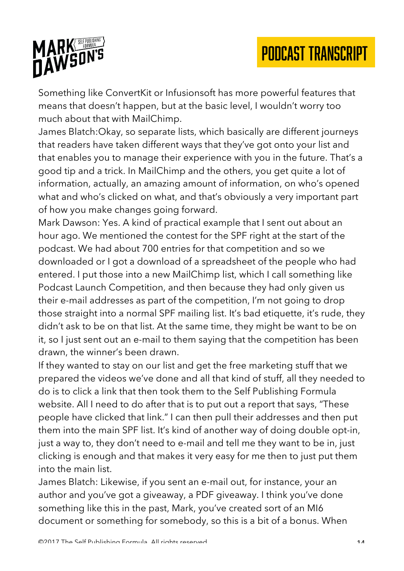

Something like ConvertKit or Infusionsoft has more powerful features that means that doesn't happen, but at the basic level, I wouldn't worry too much about that with MailChimp.

James Blatch:Okay, so separate lists, which basically are different journeys that readers have taken different ways that they've got onto your list and that enables you to manage their experience with you in the future. That's a good tip and a trick. In MailChimp and the others, you get quite a lot of information, actually, an amazing amount of information, on who's opened what and who's clicked on what, and that's obviously a very important part of how you make changes going forward.

Mark Dawson: Yes. A kind of practical example that I sent out about an hour ago. We mentioned the contest for the SPF right at the start of the podcast. We had about 700 entries for that competition and so we downloaded or I got a download of a spreadsheet of the people who had entered. I put those into a new MailChimp list, which I call something like Podcast Launch Competition, and then because they had only given us their e-mail addresses as part of the competition, I'm not going to drop those straight into a normal SPF mailing list. It's bad etiquette, it's rude, they didn't ask to be on that list. At the same time, they might be want to be on it, so I just sent out an e-mail to them saying that the competition has been drawn, the winner's been drawn.

If they wanted to stay on our list and get the free marketing stuff that we prepared the videos we've done and all that kind of stuff, all they needed to do is to click a link that then took them to the Self Publishing Formula website. All I need to do after that is to put out a report that says, "These people have clicked that link." I can then pull their addresses and then put them into the main SPF list. It's kind of another way of doing double opt-in, just a way to, they don't need to e-mail and tell me they want to be in, just clicking is enough and that makes it very easy for me then to just put them into the main list.

James Blatch: Likewise, if you sent an e-mail out, for instance, your an author and you've got a giveaway, a PDF giveaway. I think you've done something like this in the past, Mark, you've created sort of an MI6 document or something for somebody, so this is a bit of a bonus. When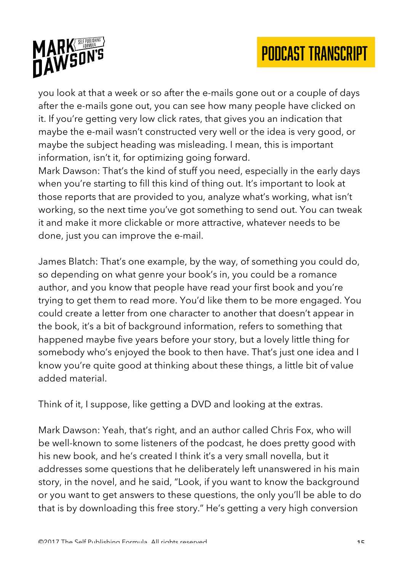

you look at that a week or so after the e-mails gone out or a couple of days after the e-mails gone out, you can see how many people have clicked on it. If you're getting very low click rates, that gives you an indication that maybe the e-mail wasn't constructed very well or the idea is very good, or maybe the subject heading was misleading. I mean, this is important information, isn't it, for optimizing going forward.

Mark Dawson: That's the kind of stuff you need, especially in the early days when you're starting to fill this kind of thing out. It's important to look at those reports that are provided to you, analyze what's working, what isn't working, so the next time you've got something to send out. You can tweak it and make it more clickable or more attractive, whatever needs to be done, just you can improve the e-mail.

James Blatch: That's one example, by the way, of something you could do, so depending on what genre your book's in, you could be a romance author, and you know that people have read your first book and you're trying to get them to read more. You'd like them to be more engaged. You could create a letter from one character to another that doesn't appear in the book, it's a bit of background information, refers to something that happened maybe five years before your story, but a lovely little thing for somebody who's enjoyed the book to then have. That's just one idea and I know you're quite good at thinking about these things, a little bit of value added material.

Think of it, I suppose, like getting a DVD and looking at the extras.

Mark Dawson: Yeah, that's right, and an author called Chris Fox, who will be well-known to some listeners of the podcast, he does pretty good with his new book, and he's created I think it's a very small novella, but it addresses some questions that he deliberately left unanswered in his main story, in the novel, and he said, "Look, if you want to know the background or you want to get answers to these questions, the only you'll be able to do that is by downloading this free story." He's getting a very high conversion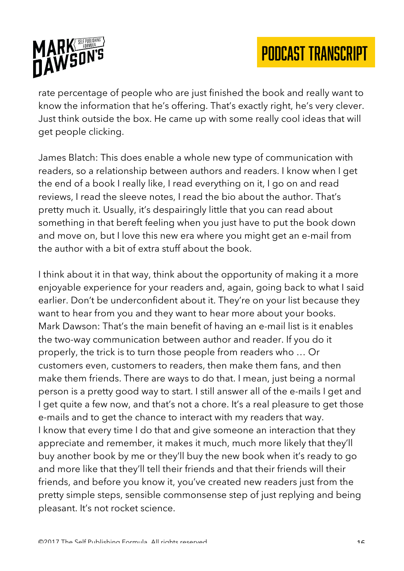

rate percentage of people who are just finished the book and really want to know the information that he's offering. That's exactly right, he's very clever. Just think outside the box. He came up with some really cool ideas that will get people clicking.

James Blatch: This does enable a whole new type of communication with readers, so a relationship between authors and readers. I know when I get the end of a book I really like, I read everything on it, I go on and read reviews, I read the sleeve notes, I read the bio about the author. That's pretty much it. Usually, it's despairingly little that you can read about something in that bereft feeling when you just have to put the book down and move on, but I love this new era where you might get an e-mail from the author with a bit of extra stuff about the book.

I think about it in that way, think about the opportunity of making it a more enjoyable experience for your readers and, again, going back to what I said earlier. Don't be underconfident about it. They're on your list because they want to hear from you and they want to hear more about your books. Mark Dawson: That's the main benefit of having an e-mail list is it enables the two-way communication between author and reader. If you do it properly, the trick is to turn those people from readers who … Or customers even, customers to readers, then make them fans, and then make them friends. There are ways to do that. I mean, just being a normal person is a pretty good way to start. I still answer all of the e-mails I get and I get quite a few now, and that's not a chore. It's a real pleasure to get those e-mails and to get the chance to interact with my readers that way. I know that every time I do that and give someone an interaction that they appreciate and remember, it makes it much, much more likely that they'll buy another book by me or they'll buy the new book when it's ready to go and more like that they'll tell their friends and that their friends will their friends, and before you know it, you've created new readers just from the pretty simple steps, sensible commonsense step of just replying and being pleasant. It's not rocket science.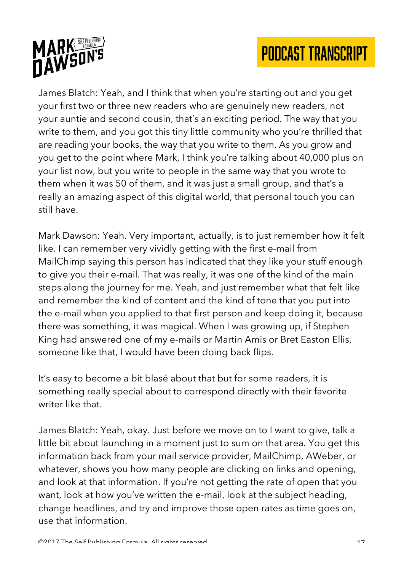



James Blatch: Yeah, and I think that when you're starting out and you get your first two or three new readers who are genuinely new readers, not your auntie and second cousin, that's an exciting period. The way that you write to them, and you got this tiny little community who you're thrilled that are reading your books, the way that you write to them. As you grow and you get to the point where Mark, I think you're talking about 40,000 plus on your list now, but you write to people in the same way that you wrote to them when it was 50 of them, and it was just a small group, and that's a really an amazing aspect of this digital world, that personal touch you can still have.

Mark Dawson: Yeah. Very important, actually, is to just remember how it felt like. I can remember very vividly getting with the first e-mail from MailChimp saying this person has indicated that they like your stuff enough to give you their e-mail. That was really, it was one of the kind of the main steps along the journey for me. Yeah, and just remember what that felt like and remember the kind of content and the kind of tone that you put into the e-mail when you applied to that first person and keep doing it, because there was something, it was magical. When I was growing up, if Stephen King had answered one of my e-mails or Martin Amis or Bret Easton Ellis, someone like that, I would have been doing back flips.

It's easy to become a bit blasé about that but for some readers, it is something really special about to correspond directly with their favorite writer like that.

James Blatch: Yeah, okay. Just before we move on to I want to give, talk a little bit about launching in a moment just to sum on that area. You get this information back from your mail service provider, MailChimp, AWeber, or whatever, shows you how many people are clicking on links and opening, and look at that information. If you're not getting the rate of open that you want, look at how you've written the e-mail, look at the subject heading, change headlines, and try and improve those open rates as time goes on, use that information.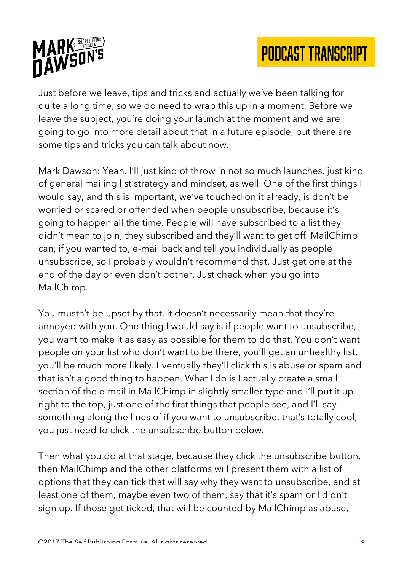

Just before we leave, tips and tricks and actually we've been talking for quite a long time, so we do need to wrap this up in a moment. Before we leave the subject, you're doing your launch at the moment and we are going to go into more detail about that in a future episode, but there are some tips and tricks you can talk about now.

Mark Dawson: Yeah. I'll just kind of throw in not so much launches, just kind of general mailing list strategy and mindset, as well. One of the first things I would say, and this is important, we've touched on it already, is don't be worried or scared or offended when people unsubscribe, because it's going to happen all the time. People will have subscribed to a list they didn't mean to join, they subscribed and they'll want to get off. MailChimp can, if you wanted to, e-mail back and tell you individually as people unsubscribe, so I probably wouldn't recommend that. Just get one at the end of the day or even don't bother. Just check when you go into MailChimp.

You mustn't be upset by that, it doesn't necessarily mean that they're annoyed with you. One thing I would say is if people want to unsubscribe, you want to make it as easy as possible for them to do that. You don't want people on your list who don't want to be there, you'll get an unhealthy list, you'll be much more likely. Eventually they'll click this is abuse or spam and that isn't a good thing to happen. What I do is I actually create a small section of the e-mail in MailChimp in slightly smaller type and I'll put it up right to the top, just one of the first things that people see, and I'll say something along the lines of if you want to unsubscribe, that's totally cool, you just need to click the unsubscribe button below.

Then what you do at that stage, because they click the unsubscribe button, then MailChimp and the other platforms will present them with a list of options that they can tick that will say why they want to unsubscribe, and at least one of them, maybe even two of them, say that it's spam or I didn't sign up. If those get ticked, that will be counted by MailChimp as abuse,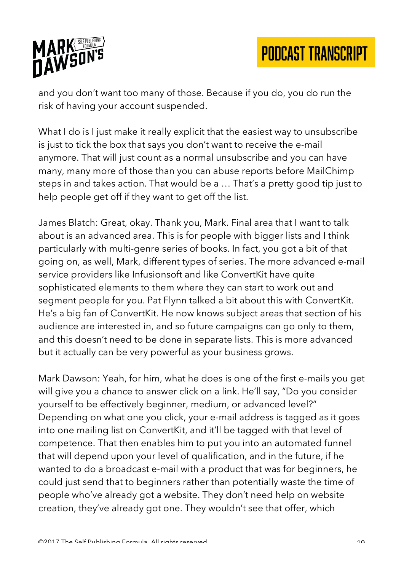

and you don't want too many of those. Because if you do, you do run the risk of having your account suspended.

What I do is I just make it really explicit that the easiest way to unsubscribe is just to tick the box that says you don't want to receive the e-mail anymore. That will just count as a normal unsubscribe and you can have many, many more of those than you can abuse reports before MailChimp steps in and takes action. That would be a … That's a pretty good tip just to help people get off if they want to get off the list.

James Blatch: Great, okay. Thank you, Mark. Final area that I want to talk about is an advanced area. This is for people with bigger lists and I think particularly with multi-genre series of books. In fact, you got a bit of that going on, as well, Mark, different types of series. The more advanced e-mail service providers like Infusionsoft and like ConvertKit have quite sophisticated elements to them where they can start to work out and segment people for you. Pat Flynn talked a bit about this with ConvertKit. He's a big fan of ConvertKit. He now knows subject areas that section of his audience are interested in, and so future campaigns can go only to them, and this doesn't need to be done in separate lists. This is more advanced but it actually can be very powerful as your business grows.

Mark Dawson: Yeah, for him, what he does is one of the first e-mails you get will give you a chance to answer click on a link. He'll say, "Do you consider yourself to be effectively beginner, medium, or advanced level?" Depending on what one you click, your e-mail address is tagged as it goes into one mailing list on ConvertKit, and it'll be tagged with that level of competence. That then enables him to put you into an automated funnel that will depend upon your level of qualification, and in the future, if he wanted to do a broadcast e-mail with a product that was for beginners, he could just send that to beginners rather than potentially waste the time of people who've already got a website. They don't need help on website creation, they've already got one. They wouldn't see that offer, which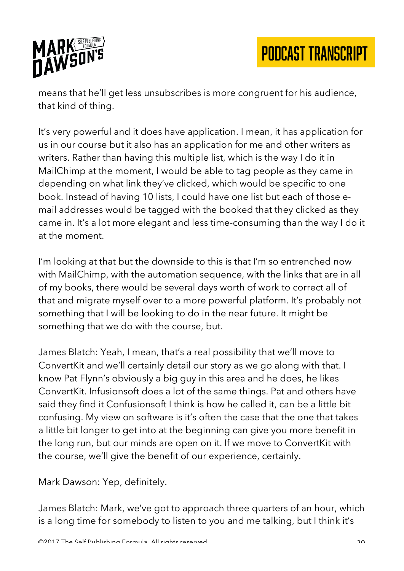

means that he'll get less unsubscribes is more congruent for his audience, that kind of thing.

It's very powerful and it does have application. I mean, it has application for us in our course but it also has an application for me and other writers as writers. Rather than having this multiple list, which is the way I do it in MailChimp at the moment, I would be able to tag people as they came in depending on what link they've clicked, which would be specific to one book. Instead of having 10 lists, I could have one list but each of those email addresses would be tagged with the booked that they clicked as they came in. It's a lot more elegant and less time-consuming than the way I do it at the moment.

I'm looking at that but the downside to this is that I'm so entrenched now with MailChimp, with the automation sequence, with the links that are in all of my books, there would be several days worth of work to correct all of that and migrate myself over to a more powerful platform. It's probably not something that I will be looking to do in the near future. It might be something that we do with the course, but.

James Blatch: Yeah, I mean, that's a real possibility that we'll move to ConvertKit and we'll certainly detail our story as we go along with that. I know Pat Flynn's obviously a big guy in this area and he does, he likes ConvertKit. Infusionsoft does a lot of the same things. Pat and others have said they find it Confusionsoft I think is how he called it, can be a little bit confusing. My view on software is it's often the case that the one that takes a little bit longer to get into at the beginning can give you more benefit in the long run, but our minds are open on it. If we move to ConvertKit with the course, we'll give the benefit of our experience, certainly.

Mark Dawson: Yep, definitely.

James Blatch: Mark, we've got to approach three quarters of an hour, which is a long time for somebody to listen to you and me talking, but I think it's